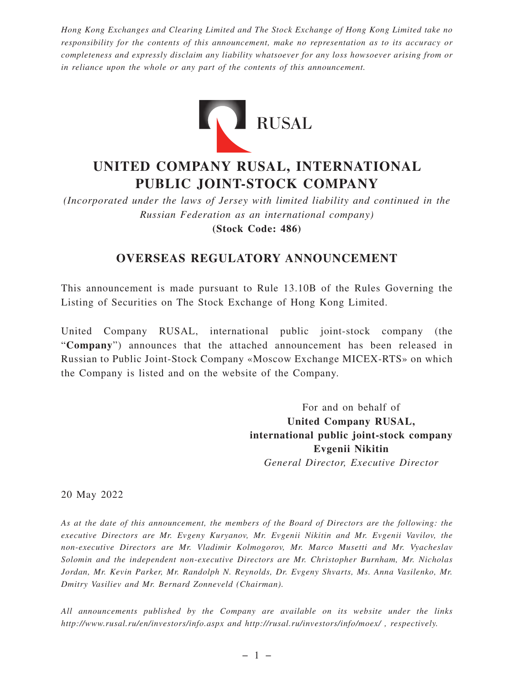*Hong Kong Exchanges and Clearing Limited and The Stock Exchange of Hong Kong Limited take no responsibility for the contents of this announcement, make no representation as to its accuracy or completeness and expressly disclaim any liability whatsoever for any loss howsoever arising from or in reliance upon the whole or any part of the contents of this announcement.*



## **UNITED COMPANY RUSAL, INTERNATIONAL PUBLIC JOINT-STOCK COMPANY**

*(Incorporated under the laws of Jersey with limited liability and continued in the Russian Federation as an international company)* **(Stock Code: 486)**

## **OVERSEAS REGULATORY ANNOUNCEMENT**

This announcement is made pursuant to Rule 13.10B of the Rules Governing the Listing of Securities on The Stock Exchange of Hong Kong Limited.

United Company RUSAL, international public joint-stock company (the "**Company**") announces that the attached announcement has been released in Russian to Public Joint-Stock Company «Moscow Exchange MICEX-RTS» on which the Company is listed and on the website of the Company.

> For and on behalf of **United Company RUSAL, international public joint-stock company Evgenii Nikitin** *General Director, Executive Director*

20 May 2022

*As at the date of this announcement, the members of the Board of Directors are the following: the executive Directors are Mr. Evgeny Kuryanov, Mr. Evgenii Nikitin and Mr. Evgenii Vavilov, the non-executive Directors are Mr. Vladimir Kolmogorov, Mr. Marco Musetti and Mr. Vyacheslav Solomin and the independent non-executive Directors are Mr. Christopher Burnham, Mr. Nicholas Jordan, Mr. Kevin Parker, Mr. Randolph N. Reynolds, Dr. Evgeny Shvarts, Ms. Anna Vasilenko, Mr. Dmitry Vasiliev and Mr. Bernard Zonneveld (Chairman).*

*All announcements published by the Company are available on its website under the links http://www.rusal.ru/en/investors/info.aspx and http://rusal.ru/investors/info/moex/ , respectively.*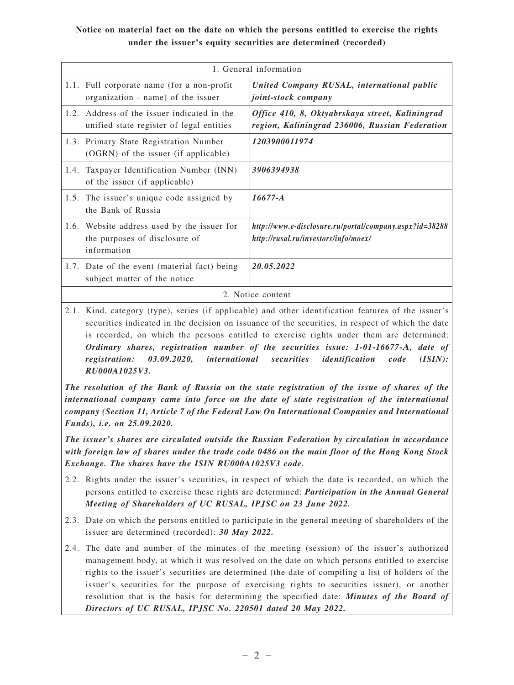## **Notice on material fact on the date on which the persons entitled to exercise the rights under the issuer's equity securities are determined (recorded)**

| 1. General information |                                                                                             |                                                                                                   |  |  |
|------------------------|---------------------------------------------------------------------------------------------|---------------------------------------------------------------------------------------------------|--|--|
|                        | 1.1. Full corporate name (for a non-profit)<br>organization - name) of the issuer           | United Company RUSAL, international public<br><i>joint-stock company</i>                          |  |  |
|                        | 1.2. Address of the issuer indicated in the<br>unified state register of legal entities     | Office 410, 8, Oktyabrskaya street, Kaliningrad<br>region, Kaliningrad 236006, Russian Federation |  |  |
|                        | 1.3. Primary State Registration Number<br>(OGRN) of the issuer (if applicable)              | 1203900011974                                                                                     |  |  |
|                        | 1.4. Taxpayer Identification Number (INN)<br>of the issuer (if applicable)                  | 3906394938                                                                                        |  |  |
|                        | 1.5. The issuer's unique code assigned by<br>the Bank of Russia                             | $16677 - A$                                                                                       |  |  |
|                        | 1.6. Website address used by the issuer for<br>the purposes of disclosure of<br>information | http://www.e-disclosure.ru/portal/company.aspx?id=38288<br>http://rusal.ru/investors/info/moex/   |  |  |
|                        | 1.7. Date of the event (material fact) being<br>subject matter of the notice                | 20.05.2022                                                                                        |  |  |
| 2. Notice content      |                                                                                             |                                                                                                   |  |  |

2.1. Kind, category (type), series (if applicable) and other identification features of the issuer's securities indicated in the decision on issuance of the securities, in respect of which the date is recorded, on which the persons entitled to exercise rights under them are determined: *Ordinary shares, registration number of the securities issue: 1-01-16677-А, date of registration: 03.09.2020, international securities identification code (ISIN): RU000A1025V3.*

*The resolution of the Bank of Russia on the state registration of the issue of shares of the international company came into force on the date of state registration of the international company (Section 11, Article 7 of the Federal Law On International Companies and International Funds), i.e. on 25.09.2020.*

*The issuer's shares are circulated outside the Russian Federation by circulation in accordance with foreign law of shares under the trade code 0486 on the main floor of the Hong Kong Stock Exchange. The shares have the ISIN RU000A1025V3 code.*

- 2.2. Rights under the issuer's securities, in respect of which the date is recorded, on which the persons entitled to exercise these rights are determined: *Participation in the Annual General Meeting of Shareholders of UC RUSAL, IPJSC on 23 June 2022.*
- 2.3. Date on which the persons entitled to participate in the general meeting of shareholders of the issuer are determined (recorded): *30 May 2022.*
- 2.4. The date and number of the minutes of the meeting (session) of the issuer's authorized management body, at which it was resolved on the date on which persons entitled to exercise rights to the issuer's securities are determined (the date of compiling a list of holders of the issuer's securities for the purpose of exercising rights to securities issuer), or another resolution that is the basis for determining the specified date: *Minutes of the Board of Directors of UC RUSAL, IPJSC No. 220501 dated 20 May 2022.*